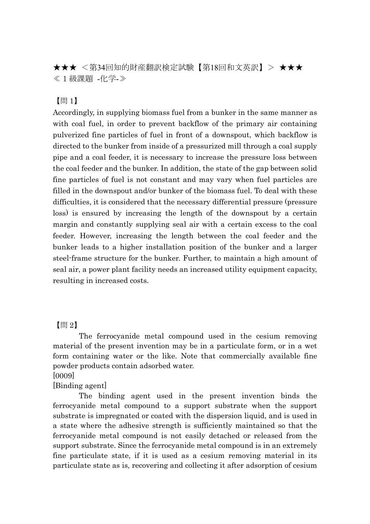★★★ <第34回知的財産翻訳検定試験【第18回和文英訳】> ★★★ ≪1級課題 -化学-≫

【問 1】

Accordingly, in supplying biomass fuel from a bunker in the same manner as with coal fuel, in order to prevent backflow of the primary air containing pulverized fine particles of fuel in front of a downspout, which backflow is directed to the bunker from inside of a pressurized mill through a coal supply pipe and a coal feeder, it is necessary to increase the pressure loss between the coal feeder and the bunker. In addition, the state of the gap between solid fine particles of fuel is not constant and may vary when fuel particles are filled in the downspout and/or bunker of the biomass fuel. To deal with these difficulties, it is considered that the necessary differential pressure (pressure loss) is ensured by increasing the length of the downspout by a certain margin and constantly supplying seal air with a certain excess to the coal feeder. However, increasing the length between the coal feeder and the bunker leads to a higher installation position of the bunker and a larger steel-frame structure for the bunker. Further, to maintain a high amount of seal air, a power plant facility needs an increased utility equipment capacity, resulting in increased costs.

## 【問 2】

The ferrocyanide metal compound used in the cesium removing material of the present invention may be in a particulate form, or in a wet form containing water or the like. Note that commercially available fine powder products contain adsorbed water.

[0009]

## [Binding agent]

The binding agent used in the present invention binds the ferrocyanide metal compound to a support substrate when the support substrate is impregnated or coated with the dispersion liquid, and is used in a state where the adhesive strength is sufficiently maintained so that the ferrocyanide metal compound is not easily detached or released from the support substrate. Since the ferrocyanide metal compound is in an extremely fine particulate state, if it is used as a cesium removing material in its particulate state as is, recovering and collecting it after adsorption of cesium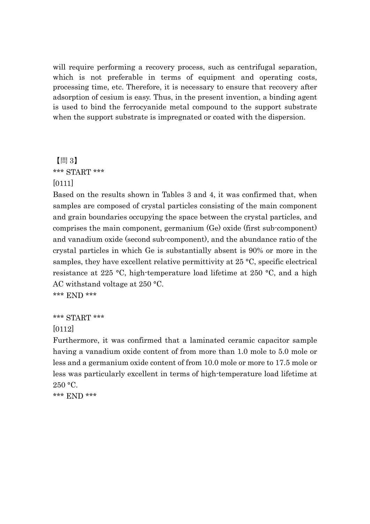will require performing a recovery process, such as centrifugal separation, which is not preferable in terms of equipment and operating costs, processing time, etc. Therefore, it is necessary to ensure that recovery after adsorption of cesium is easy. Thus, in the present invention, a binding agent is used to bind the ferrocyanide metal compound to the support substrate when the support substrate is impregnated or coated with the dispersion.

## 【問 3】 \*\*\* START \*\*\* [0111]

Based on the results shown in Tables 3 and 4, it was confirmed that, when samples are composed of crystal particles consisting of the main component and grain boundaries occupying the space between the crystal particles, and comprises the main component, germanium (Ge) oxide (first sub-component) and vanadium oxide (second sub-component), and the abundance ratio of the crystal particles in which Ge is substantially absent is 90% or more in the samples, they have excellent relative permittivity at 25 °C, specific electrical resistance at 225 °C, high-temperature load lifetime at 250 °C, and a high AC withstand voltage at 250 °C.

\*\*\* END \*\*\*

## \*\*\* START \*\*\*

[0112]

Furthermore, it was confirmed that a laminated ceramic capacitor sample having a vanadium oxide content of from more than 1.0 mole to 5.0 mole or less and a germanium oxide content of from 10.0 mole or more to 17.5 mole or less was particularly excellent in terms of high-temperature load lifetime at  $250 \text{ °C}$ .

\*\*\* END \*\*\*